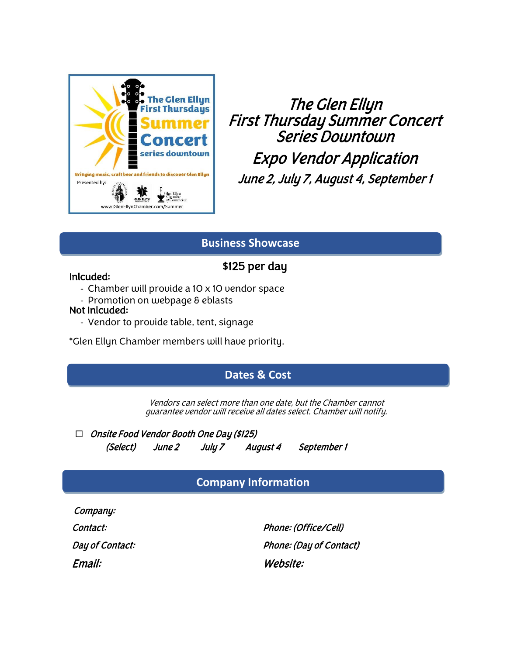

The Glen Ellyn First Thursday Summer Concert Series Downtown Expo Vendor Application June 2, July 7, August 4, September 1

## **Business Showcase**

# \$125 per day

## Inlcuded:

- Chamber will provide a 10 x 10 vendor space
- Promotion on webpage & eblasts

## Not Inlcuded:

- Vendor to provide table, tent, signage

\*Glen Ellyn Chamber members will have priority.

# **Dates & Cost**

Vendors can select more than one date, but the Chamber cannot guarantee vendor will receive all dates select. Chamber will notify.

 $\Box$  Onsite Food Vendor Booth One Day (\$125) (Select) June 2 July 7 August 4 September 1

# **Company Information**

Company:

Information

Contact: Phone: (Office/Cell) Day of Contact: The Contact of Contact Phone: (Day of Contact) Email: Website: